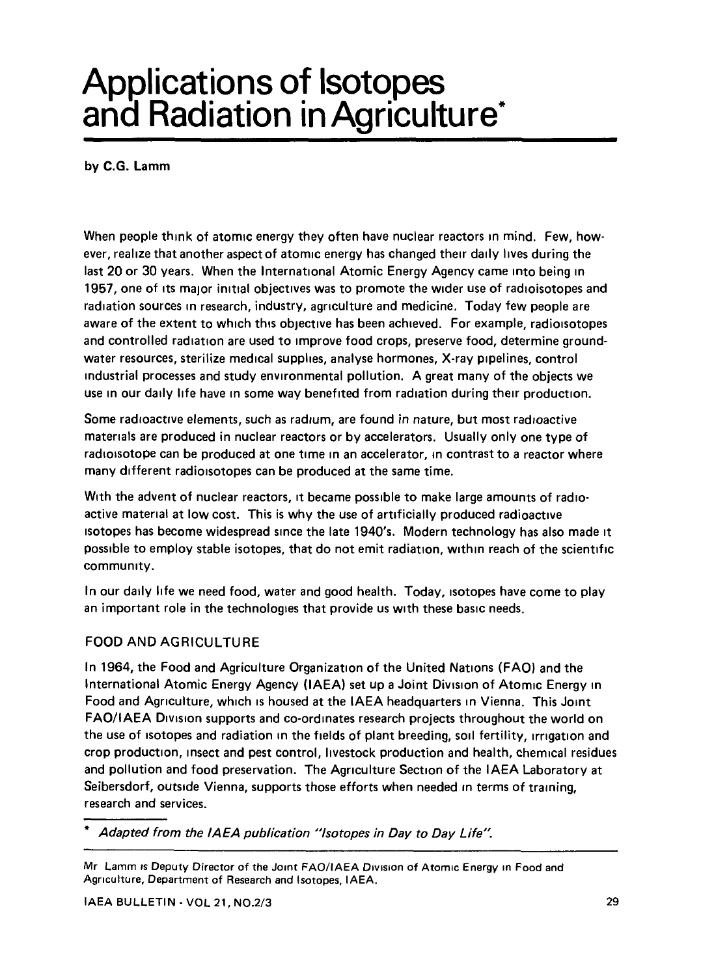# Applications of Isotopes and Radiation in Agriculture\*

by C.G. Lamm

When people think of atomic energy they often have nuclear reactors in mind. Few, however, realize that another aspect of atomic energy has changed their daily lives during the last 20 or 30 years. When the International Atomic Energy Agency came into being in 1957, one of its major initial objectives was to promote the wider use of radioisotopes and radiation sources in research, industry, agriculture and medicine. Today few people are aware of the extent to which this objective has been achieved. For example, radioisotopes and controlled radiation are used to improve food crops, preserve food, determine groundwater resources, sterilize medical supplies, analyse hormones, X-ray pipelines, control industrial processes and study environmental pollution. A great many of the objects we use in our daily life have in some way benefited from radiation during their production.

Some radioactive elements, such as radium, are found in nature, but most radioactive materials are produced in nuclear reactors or by accelerators. Usually only one type of radioisotope can be produced at one time in an accelerator, in contrast to a reactor where many different radioisotopes can be produced at the same time.

With the advent of nuclear reactors, it became possible to make large amounts of radioactive material at low cost. This is why the use of artificially produced radioactive isotopes has become widespread since the late 1940's. Modern technology has also made it possible to employ stable isotopes, that do not emit radiation, within reach of the scientific community.

In our daily life we need food, water and good health. Today, isotopes have come to play an important role in the technologies that provide us with these basic needs.

## FOOD AND AGRICULTURE

In 1964, the Food and Agriculture Organization of the United Nations (FAO) and the International Atomic Energy Agency (IAEA) set up a Joint Division of Atomic Energy in Food and Agriculture, which is housed at the IAEA headquarters in Vienna. This Joint FAO/IAEA Division supports and co-ordinates research projects throughout the world on the use of isotopes and radiation in the fields of plant breeding, soil fertility, irrigation and crop production, insect and pest control, livestock production and health, chemical residues and pollution and food preservation. The Agriculture Section of the IAEA Laboratory at Seibersdorf, outside Vienna, supports those efforts when needed in terms of training, research and services.

Adapted from the IAEA publication "Isotopes in Day to Day Life".

Mr Lamm is Deputy Director of the Joint FAO/IAEA Division of Atomic Energy in Food and Agriculture, Department of Research and Isotopes, IAEA.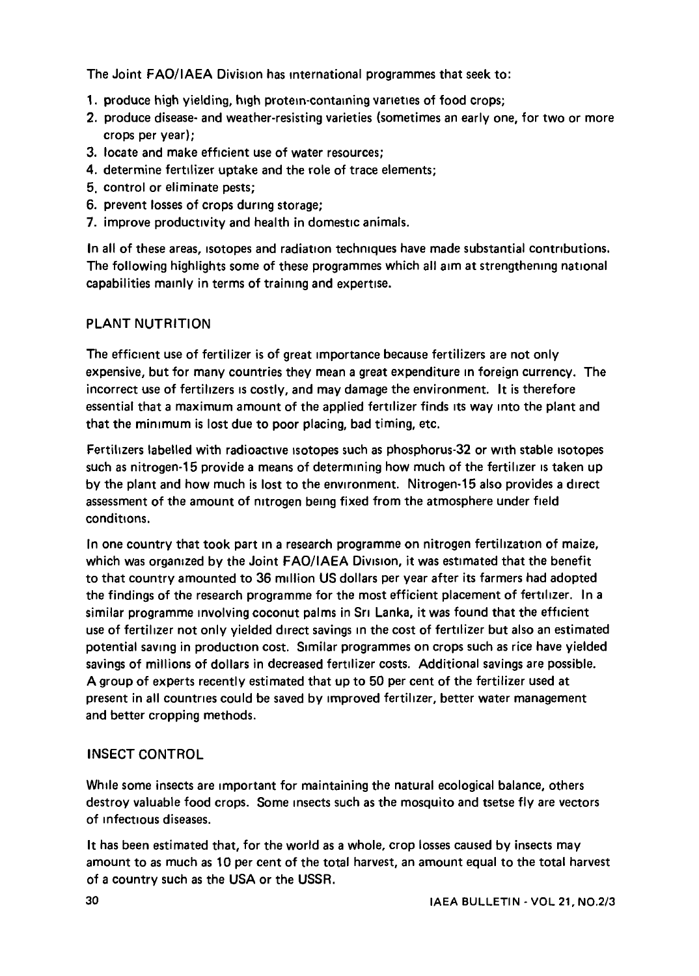The Joint FAO/IAEA Division has international programmes that seek to:

- 1. produce high yielding, high protein-containing varieties of food crops;
- 2. produce disease- and weather-resisting varieties (sometimes an early one, for two or more crops per year);
- 3. locate and make efficient use of water resources;
- 4. determine fertilizer uptake and the role of trace elements;
- 5. control or eliminate pests;
- 6. prevent losses of crops during storage;
- 7. improve productivity and health in domestic animals.

In all of these areas, isotopes and radiation techniques have made substantial contributions. The following highlights some of these programmes which all aim at strengthening national capabilities mainly in terms of training and expertise.

## PLANT NUTRITION

The efficient use of fertilizer is of great importance because fertilizers are not only expensive, but for many countries they mean a great expenditure in foreign currency. The incorrect use of fertilizers is costly, and may damage the environment. It is therefore essential that a maximum amount of the applied fertilizer finds its way into the plant and that the minimum is lost due to poor placing, bad timing, etc.

Fertilizers labelled with radioactive isotopes such as phosphorus-32 or with stable isotopes such as nitrogen-15 provide a means of determining how much of the fertilizer is taken up by the plant and how much is lost to the environment. Nitrogen-15 also provides a direct assessment of the amount of nitrogen being fixed from the atmosphere under field conditions.

In one country that took part in a research programme on nitrogen fertilization of maize, which was organized by the Joint FAO/IAEA Division, it was estimated that the benefit to that country amounted to 36 million US dollars per year after its farmers had adopted the findings of the research programme for the most efficient placement of fertilizer. In a similar programme involving coconut palms in Sri Lanka, it was found that the efficient use of fertilizer not only yielded direct savings in the cost of fertilizer but also an estimated potential saving in production cost. Similar programmes on crops such as rice have yielded savings of millions of dollars in decreased fertilizer costs. Additional savings are possible. A group of experts recently estimated that up to 50 per cent of the fertilizer used at present in all countries could be saved by improved fertilizer, better water management and better cropping methods.

## INSECT CONTROL

While some insects are important for maintaining the natural ecological balance, others destroy valuable food crops. Some insects such as the mosquito and tsetse fly are vectors of infectious diseases.

It has been estimated that, for the world as a whole, crop losses caused by insects may amount to as much as 10 per cent of the total harvest, an amount equal to the total harvest of a country such as the USA or the USSR.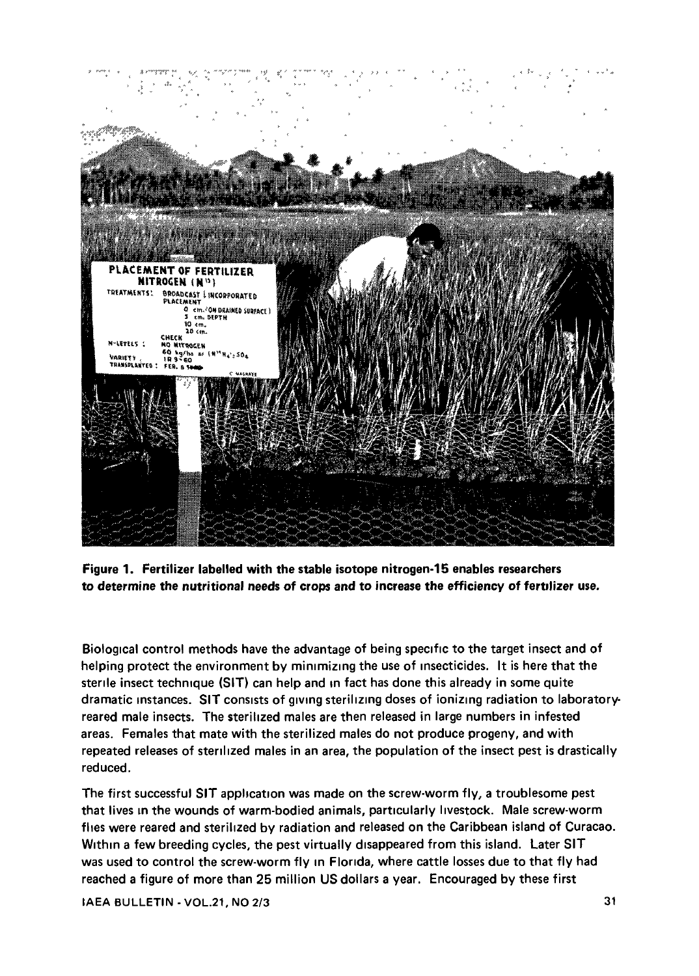

**Figure 1. Fertilizer labelled with the stable isotope nitrogen-15 enables researchers to determine the nutritional needs of crops and to increase the efficiency of fertilizer use.**

Biological control methods have the advantage of being specific to the target insect and of helping protect the environment by minimizing the use of insecticides. It is here that the sterile insect technique (SIT) can help and in fact has done this already in some quite dramatic instances. **SIT** consists of giving sterilizing doses of ionizing radiation to laboratoryreared male insects. The sterilized males are then released in large numbers in infested areas. Females that mate with the sterilized males do not produce progeny, and with repeated releases of sterilized males in an area, the population of the insect pest is drastically reduced.

The first successful **SIT** application was made on the screw-worm fly, a troublesome pest that lives in the wounds of warm-bodied animals, particularly livestock. Male screw-worm flies were reared and sterilized by radiation and released on the Caribbean island of Curacao. Within a few breeding cycles, the pest virtually disappeared from this island. Later SIT was used to control the screw-worm fly in Florida, where cattle losses due to that fly had reached a figure of more than 25 million US dollars a year. Encouraged by these first

IAEA BULLETIN - VOL.21, NO 2/3 31 32 32 32 33 33 34 35 36 37 38 39 30 31 32 33 34 35 37 38 39 31 32 33 31 32 33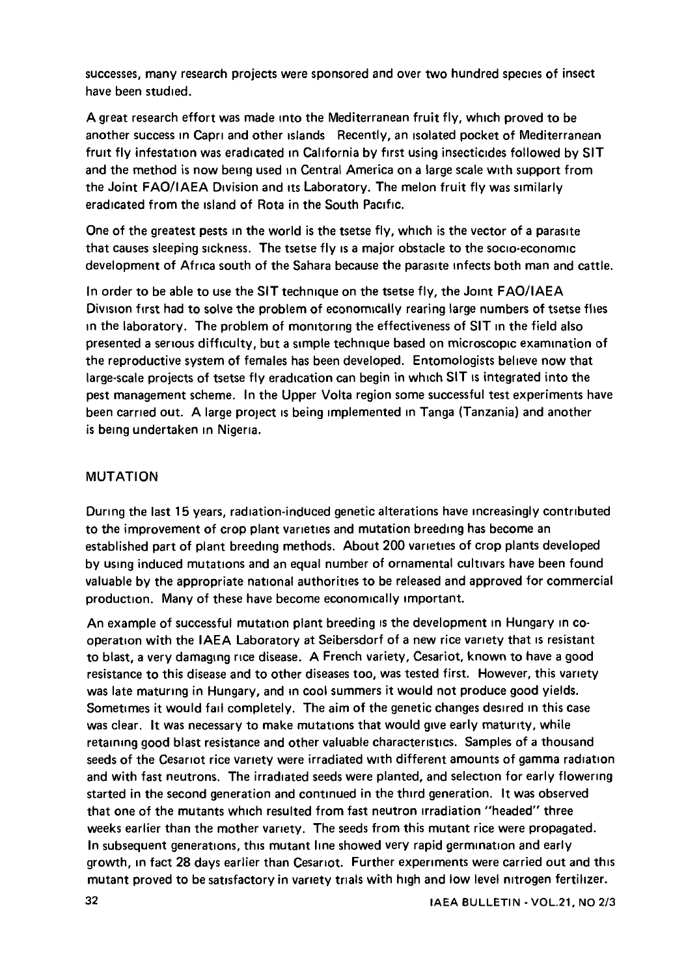successes, many research projects were sponsored and over two hundred species of insect have been studied.

A great research effort was made into the Mediterranean fruit fly, which proved to be another success in Capri and other islands Recently, an isolated pocket of Mediterranean fruit fly infestation was eradicated in California by first using insecticides followed by SIT and the method is now being used in Central America on a large scale with support from the Joint FAO/IAEA Division and its Laboratory. The melon fruit fly was similarly eradicated from the island of Rota in the South Pacific.

One of the greatest pests in the world is the tsetse fly, which is the vector of a parasite that causes sleeping sickness. The tsetse fly is a major obstacle to the socio-economic development of Africa south of the Sahara because the parasite infects both man and cattle.

In order to be able to use the SIT technique on the tsetse fly, the Joint FAO/IAEA Division first had to solve the problem of economically rearing large numbers of tsetse flies in the laboratory. The problem of monitoring the effectiveness of SIT in the field also presented a serious difficulty, but a simple technique based on microscopic examination of the reproductive system of females has been developed. Entomologists believe now that large-scale projects of tsetse fly eradication can begin in which SIT is integrated into the pest management scheme. In the Upper Volta region some successful test experiments have been carried out. A large project is being implemented in Tanga (Tanzania) and another is being undertaken in Nigeria.

#### MUTATION

During the last 15 years, radiation-induced genetic alterations have increasingly contributed to the improvement of crop plant varieties and mutation breeding has become an established part of plant breeding methods. About 200 varieties of crop plants developed by using induced mutations and an equal number of ornamental cultivars have been found valuable by the appropriate national authorities to be released and approved for commercial production. Many of these have become economically important.

An example of successful mutation plant breeding is the development in Hungary in cooperation with the IAEA Laboratory at Seibersdorf of a new rice variety that is resistant to blast, a very damaging rice disease. A French variety, Cesariot, known to have a good resistance to this disease and to other diseases too, was tested first. However, this variety was late maturing in Hungary, and in cool summers it would not produce good yields. Sometimes it would fail completely. The aim of the genetic changes desired in this case was clear. It was necessary to make mutations that would give early maturity, while retaining good blast resistance and other valuable characteristics. Samples of a thousand seeds of the Cesariot rice variety were irradiated with different amounts of gamma radiation and with fast neutrons. The irradiated seeds were planted, and selection for early flowering started in the second generation and continued in the third generation. It was observed that one of the mutants which resulted from fast neutron irradiation "headed" three weeks earlier than the mother variety. The seeds from this mutant rice were propagated. In subsequent generations, this mutant line showed very rapid germination and early growth, in fact 28 days earlier than Cesariot. Further experiments were carried out and this mutant proved to be satisfactory in variety trials with high and low level nitrogen fertilizer.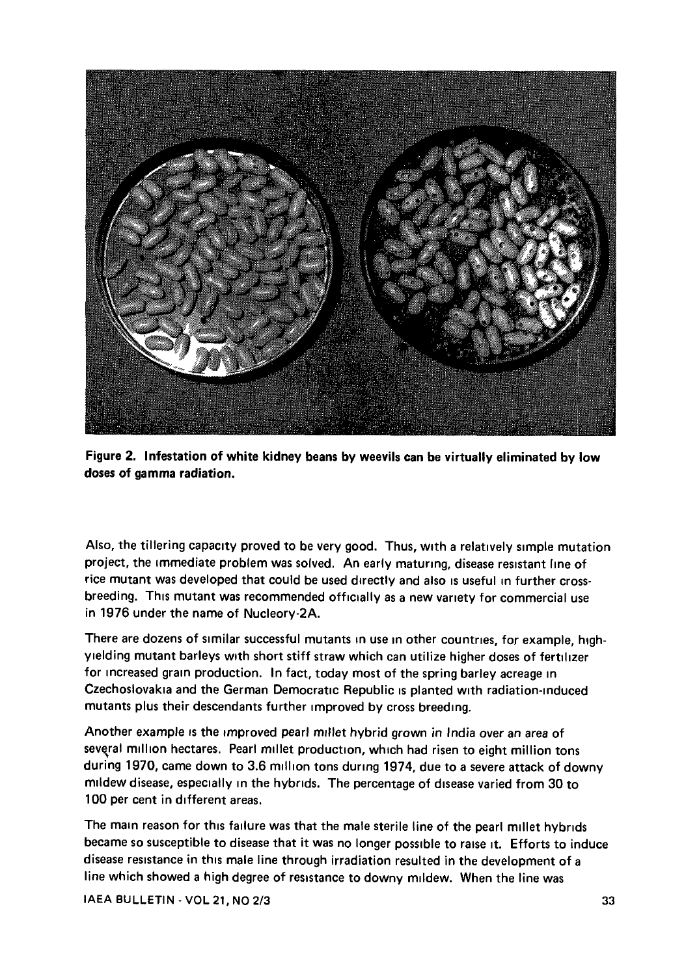



Also, the tillering capacity proved to be very good. Thus, with a relatively simple mutation project, the immediate problem was solved. An early maturing, disease resistant line of rice mutant was developed that could be used directly and also is useful in further crossbreeding. This mutant was recommended officially as a new variety for commercial use in 1976 under the name of Nucleory-2A.

There are dozens of similar successful mutants in use in other countries, for example, highyielding mutant barleys with short stiff straw which can utilize higher doses of fertilizer for increased gram production. In fact, today most of the spring barley acreage in Czechoslovakia and the German Democratic Republic is planted with radiation-induced mutants plus their descendants further improved by cross breeding.

Another example is the improved pearl millet hybrid grown in India over an area of several million hectares. Pearl millet production, which had risen to eight million tons during 1970, came down to 3.6 million tons during 1974, due to a severe attack of downy mildew disease, especially in the hybrids. The percentage of disease varied from 30 to 100 per cent in different areas.

The main reason for this failure was that the male sterile line of the pearl millet hybrids became so susceptible to disease that it was no longer possible to raise it. Efforts to induce disease resistance in this male line through irradiation resulted in the development of a line which showed a high degree of resistance to downy mildew. When the line was

IAEA BULLETIN-VOL 21, NO 2/3 33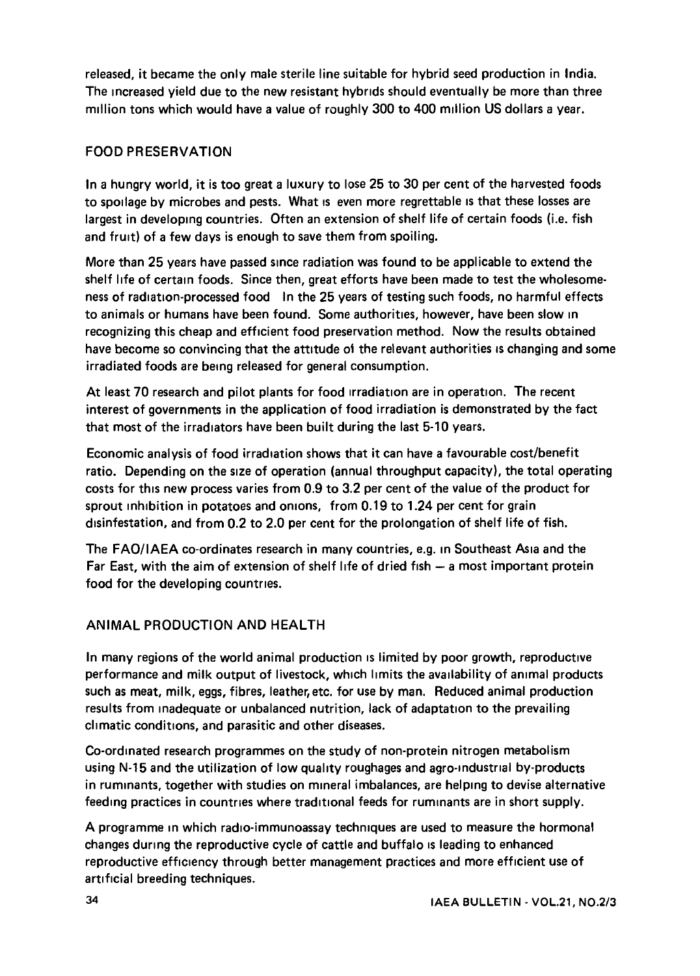released, it became the only male sterile line suitable for hybrid seed production in India. The increased yield due to the new resistant hybrids should eventually be more than three million tons which would have a value of roughly 300 to 400 million US dollars a year.

#### FOOD PRESERVATION

In a hungry world, it is too great a luxury to lose 25 to 30 per cent of the harvested foods to spoilage by microbes and pests. What is even more regrettable is that these losses are largest in developing countries. Often an extension of shelf life of certain foods (i.e. fish and fruit) of a few days is enough to save them from spoiling.

More than 25 years have passed since radiation was found to be applicable to extend the shelf life of certain foods. Since then, great efforts have been made to test the wholesomeness of radiation-processed food In the 25 years of testing such foods, no harmful effects to animals or humans have been found. Some authorities, however, have been slow in recognizing this cheap and efficient food preservation method. Now the results obtained have become so convincing that the attitude oi the relevant authorities is changing and some irradiated foods are being released for general consumption.

At least 70 research and pilot plants for food irradiation are in operation. The recent interest of governments in the application of food irradiation is demonstrated by the fact that most of the irradiators have been built during the last 5-10 years.

Economic analysis of food irradiation shows that it can have a favourable cost/benefit ratio. Depending on the size of operation (annual throughput capacity), the total operating costs for this new process varies from 0.9 to 3.2 per cent of the value of the product for sprout inhibition in potatoes and onions, from 0.19 to 1.24 per cent for grain disinfestation, and from 0.2 to 2.0 per cent for the prolongation of shelf life of fish.

The FAO/IAEA co-ordinates research in many countries, e.g. in Southeast Asia and the Far East, with the aim of extension of shelf life of dried fish — a most important protein food for the developing countries.

## ANIMAL PRODUCTION AND HEALTH

In many regions of the world animal production is limited by poor growth, reproductive performance and milk output of livestock, which limits the availability of animal products such as meat, milk, eggs, fibres, leather, etc. for use by man. Reduced animal production results from inadequate or unbalanced nutrition, lack of adaptation to the prevailing climatic conditions, and parasitic and other diseases.

Co-ordinated research programmes on the study of non-protein nitrogen metabolism using N-15 and the utilization of low quality roughages and agro-industrial by-products in ruminants, together with studies on mineral imbalances, are helping to devise alternative feeding practices in countries where traditional feeds for ruminants are in short supply.

A programme in which radio-immunoassay techniques are used to measure the hormonal changes during the reproductive cycle of cattle and buffalo is leading to enhanced reproductive efficiency through better management practices and more efficient use of artificial breeding techniques.